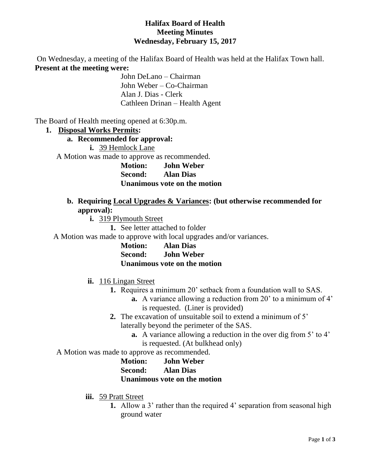### **Halifax Board of Health Meeting Minutes Wednesday, February 15, 2017**

On Wednesday, a meeting of the Halifax Board of Health was held at the Halifax Town hall. **Present at the meeting were:**

> John DeLano – Chairman John Weber – Co-Chairman Alan J. Dias - Clerk Cathleen Drinan – Health Agent

The Board of Health meeting opened at 6:30p.m.

#### **1. Disposal Works Permits:**

#### **a. Recommended for approval:**

**i.** 39 Hemlock Lane

A Motion was made to approve as recommended.

**Motion: John Weber Second: Alan Dias Unanimous vote on the motion**

#### **b. Requiring Local Upgrades & Variances: (but otherwise recommended for approval):**

**i.** 319 Plymouth Street

**1.** See letter attached to folder

A Motion was made to approve with local upgrades and/or variances.

| <b>Motion:</b> | <b>Alan Dias</b>             |
|----------------|------------------------------|
| Second:        | <b>John Weber</b>            |
|                | Unanimous vote on the motion |

### **ii.** 116 Lingan Street

- **1.** Requires a minimum 20' setback from a foundation wall to SAS.
	- **a.** A variance allowing a reduction from 20' to a minimum of 4' is requested. (Liner is provided)
- **2.** The excavation of unsuitable soil to extend a minimum of 5' laterally beyond the perimeter of the SAS.
	- **a.** A variance allowing a reduction in the over dig from 5' to 4' is requested. (At bulkhead only)
- A Motion was made to approve as recommended.
	- **Motion: John Weber Second: Alan Dias Unanimous vote on the motion**
	- **iii.** 59 Pratt Street
		- **1.** Allow a 3' rather than the required 4' separation from seasonal high ground water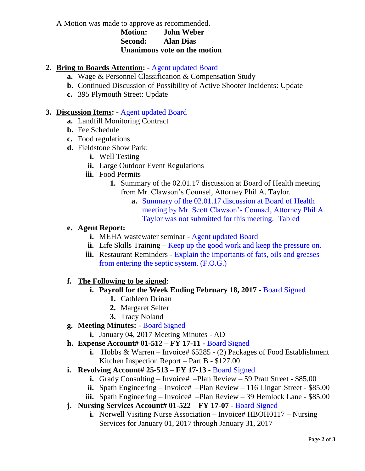A Motion was made to approve as recommended.

### **Motion: John Weber Second: Alan Dias Unanimous vote on the motion**

## **2. Bring to Boards Attention: -** Agent updated Board

- **a.** Wage & Personnel Classification & Compensation Study
- **b.** Continued Discussion of Possibility of Active Shooter Incidents: Update
- **c.** 395 Plymouth Street: Update

### **3. Discussion Items: -** Agent updated Board

- **a.** Landfill Monitoring Contract
- **b.** Fee Schedule
- **c.** Food regulations
- **d.** Fieldstone Show Park:
	- **i.** Well Testing
	- **ii.** Large Outdoor Event Regulations
	- **iii.** Food Permits
		- **1.** Summary of the 02.01.17 discussion at Board of Health meeting from Mr. Clawson's Counsel, Attorney Phil A. Taylor.
			- **a.** Summary of the 02.01.17 discussion at Board of Health meeting by Mr. Scott Clawson's Counsel, Attorney Phil A. Taylor was not submitted for this meeting. Tabled

### **e. Agent Report:**

- **i.** MEHA wastewater seminar **-** Agent updated Board
- **ii.** Life Skills Training Keep up the good work and keep the pressure on.
- **iii.** Restaurant Reminders **-** Explain the importants of fats, oils and greases from entering the septic system. (F.O.G.)

# **f. The Following to be signed**:

# **i. Payroll for the Week Ending February 18, 2017 -** Board Signed

- **1.** Cathleen Drinan
- **2.** Margaret Selter
- **3.** Tracy Noland

# **g. Meeting Minutes: -** Board Signed

- **i.** January 04, 2017 Meeting Minutes AD
- **h. Expense Account# 01-512 – FY 17-11 -** Board Signed
	- **i.** Hobbs & Warren Invoice# 65285 (2) Packages of Food Establishment Kitchen Inspection Report – Part B - \$127.00
- **i. Revolving Account# 25-513 – FY 17-13 -** Board Signed
	- **i.** Grady Consulting Invoice# –Plan Review 59 Pratt Street \$85.00
	- **ii.** Spath Engineering Invoice# –Plan Review 116 Lingan Street \$85.00
	- **iii.** Spath Engineering Invoice# –Plan Review 39 Hemlock Lane \$85.00
- **j. Nursing Services Account# 01-522 – FY 17-07 -** Board Signed
	- **i.** Norwell Visiting Nurse Association Invoice# HBOH0117 Nursing Services for January 01, 2017 through January 31, 2017